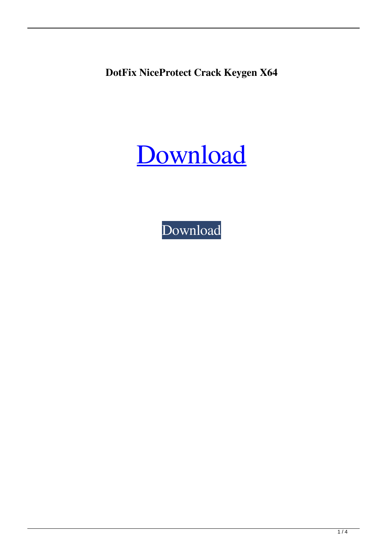**DotFix NiceProtect Crack Keygen X64**



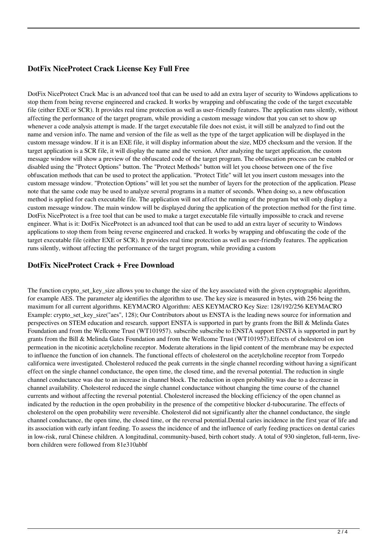## **DotFix NiceProtect Crack License Key Full Free**

DotFix NiceProtect Crack Mac is an advanced tool that can be used to add an extra layer of security to Windows applications to stop them from being reverse engineered and cracked. It works by wrapping and obfuscating the code of the target executable file (either EXE or SCR). It provides real time protection as well as user-friendly features. The application runs silently, without affecting the performance of the target program, while providing a custom message window that you can set to show up whenever a code analysis attempt is made. If the target executable file does not exist, it will still be analyzed to find out the name and version info. The name and version of the file as well as the type of the target application will be displayed in the custom message window. If it is an EXE file, it will display information about the size, MD5 checksum and the version. If the target application is a SCR file, it will display the name and the version. After analyzing the target application, the custom message window will show a preview of the obfuscated code of the target program. The obfuscation process can be enabled or disabled using the "Protect Options" button. The "Protect Methods" button will let you choose between one of the five obfuscation methods that can be used to protect the application. "Protect Title" will let you insert custom messages into the custom message window. "Protection Options" will let you set the number of layers for the protection of the application. Please note that the same code may be used to analyze several programs in a matter of seconds. When doing so, a new obfuscation method is applied for each executable file. The application will not affect the running of the program but will only display a custom message window. The main window will be displayed during the application of the protection method for the first time. DotFix NiceProtect is a free tool that can be used to make a target executable file virtually impossible to crack and reverse engineer. What is it: DotFix NiceProtect is an advanced tool that can be used to add an extra layer of security to Windows applications to stop them from being reverse engineered and cracked. It works by wrapping and obfuscating the code of the target executable file (either EXE or SCR). It provides real time protection as well as user-friendly features. The application runs silently, without affecting the performance of the target program, while providing a custom

### **DotFix NiceProtect Crack + Free Download**

The function crypto\_set\_key\_size allows you to change the size of the key associated with the given cryptographic algorithm, for example AES. The parameter alg identifies the algorithm to use. The key size is measured in bytes, with 256 being the maximum for all current algorithms. KEYMACRO Algorithm: AES KEYMACRO Key Size: 128/192/256 KEYMACRO Example: crypto\_set\_key\_size("aes", 128); Our Contributors about us ENSTA is the leading news source for information and perspectives on STEM education and research. support ENSTA is supported in part by grants from the Bill & Melinda Gates Foundation and from the Wellcome Trust (WT101957). subscribe subscribe to ENSTA support ENSTA is supported in part by grants from the Bill & Melinda Gates Foundation and from the Wellcome Trust (WT101957).Effects of cholesterol on ion permeation in the nicotinic acetylcholine receptor. Moderate alterations in the lipid content of the membrane may be expected to influence the function of ion channels. The functional effects of cholesterol on the acetylcholine receptor from Torpedo californica were investigated. Cholesterol reduced the peak currents in the single channel recording without having a significant effect on the single channel conductance, the open time, the closed time, and the reversal potential. The reduction in single channel conductance was due to an increase in channel block. The reduction in open probability was due to a decrease in channel availability. Cholesterol reduced the single channel conductance without changing the time course of the channel currents and without affecting the reversal potential. Cholesterol increased the blocking efficiency of the open channel as indicated by the reduction in the open probability in the presence of the competitive blocker d-tubocurarine. The effects of cholesterol on the open probability were reversible. Cholesterol did not significantly alter the channel conductance, the single channel conductance, the open time, the closed time, or the reversal potential.Dental caries incidence in the first year of life and its association with early infant feeding. To assess the incidence of and the influence of early feeding practices on dental caries in low-risk, rural Chinese children. A longitudinal, community-based, birth cohort study. A total of 930 singleton, full-term, liveborn children were followed from 81e310abbf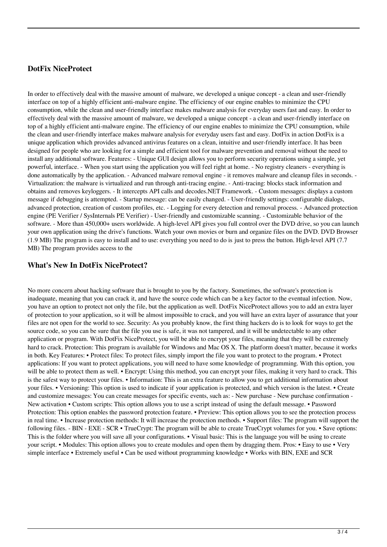### **DotFix NiceProtect**

In order to effectively deal with the massive amount of malware, we developed a unique concept - a clean and user-friendly interface on top of a highly efficient anti-malware engine. The efficiency of our engine enables to minimize the CPU consumption, while the clean and user-friendly interface makes malware analysis for everyday users fast and easy. In order to effectively deal with the massive amount of malware, we developed a unique concept - a clean and user-friendly interface on top of a highly efficient anti-malware engine. The efficiency of our engine enables to minimize the CPU consumption, while the clean and user-friendly interface makes malware analysis for everyday users fast and easy. DotFix in action DotFix is a unique application which provides advanced antivirus features on a clean, intuitive and user-friendly interface. It has been designed for people who are looking for a simple and efficient tool for malware prevention and removal without the need to install any additional software. Features: - Unique GUI design allows you to perform security operations using a simple, yet powerful, interface. - When you start using the application you will feel right at home. - No registry cleaners - everything is done automatically by the application. - Advanced malware removal engine - it removes malware and cleanup files in seconds. Virtualization: the malware is virtualized and run through anti-tracing engine. - Anti-tracing: blocks stack information and obtains and removes keyloggers. - It intercepts API calls and decodes.NET Framework. - Custom messages: displays a custom message if debugging is attempted. - Startup message: can be easily changed. - User-friendly settings: configurable dialogs, advanced protection, creation of custom profiles, etc. - Logging for every detection and removal process. - Advanced protection engine (PE Verifier / SysInternals PE Verifier) - User-friendly and customizable scanning. - Customizable behavior of the software. - More than 450,000+ users worldwide. A high-level API gives you full control over the DVD drive, so you can launch your own application using the drive's functions. Watch your own movies or burn and organize files on the DVD. DVD Browser (1.9 MB) The program is easy to install and to use: everything you need to do is just to press the button. High-level API (7.7 MB) The program provides access to the

#### **What's New In DotFix NiceProtect?**

No more concern about hacking software that is brought to you by the factory. Sometimes, the software's protection is inadequate, meaning that you can crack it, and have the source code which can be a key factor to the eventual infection. Now, you have an option to protect not only the file, but the application as well. DotFix NiceProtect allows you to add an extra layer of protection to your application, so it will be almost impossible to crack, and you will have an extra layer of assurance that your files are not open for the world to see. Security: As you probably know, the first thing hackers do is to look for ways to get the source code, so you can be sure that the file you use is safe, it was not tampered, and it will be undetectable to any other application or program. With DotFix NiceProtect, you will be able to encrypt your files, meaning that they will be extremely hard to crack. Protection: This program is available for Windows and Mac OS X. The platform doesn't matter, because it works in both. Key Features: • Protect files: To protect files, simply import the file you want to protect to the program. • Protect applications: If you want to protect applications, you will need to have some knowledge of programming. With this option, you will be able to protect them as well. • Encrypt: Using this method, you can encrypt your files, making it very hard to crack. This is the safest way to protect your files. • Information: This is an extra feature to allow you to get additional information about your files. • Versioning: This option is used to indicate if your application is protected, and which version is the latest. • Create and customize messages: You can create messages for specific events, such as: - New purchase - New purchase confirmation - New activation • Custom scripts: This option allows you to use a script instead of using the default message. • Password Protection: This option enables the password protection feature. • Preview: This option allows you to see the protection process in real time. • Increase protection methods: It will increase the protection methods. • Support files: The program will support the following files. - BIN - EXE - SCR • TrueCrypt: The program will be able to create TrueCrypt volumes for you. • Save options: This is the folder where you will save all your configurations. • Visual basic: This is the language you will be using to create your script. • Modules: This option allows you to create modules and open them by dragging them. Pros: • Easy to use • Very simple interface • Extremely useful • Can be used without programming knowledge • Works with BIN, EXE and SCR